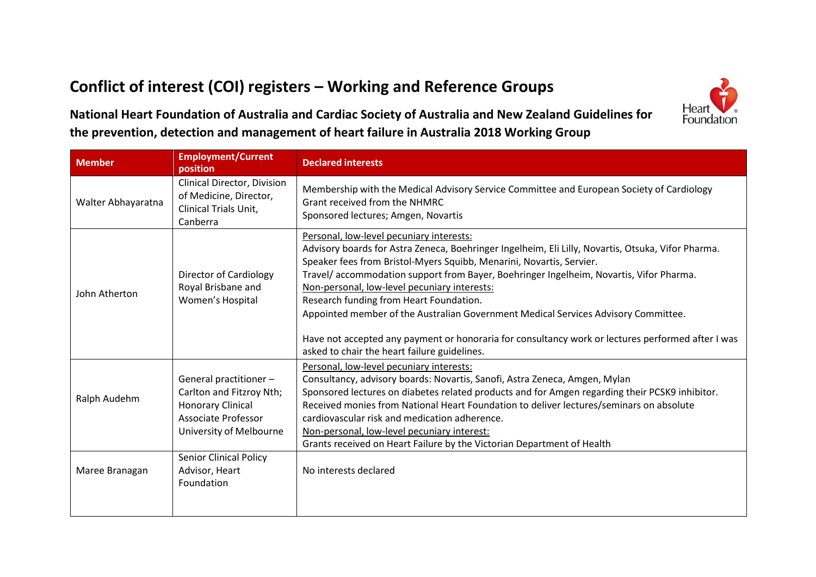## **Conflict of interest (COI) registers – Working and Reference Groups**



**National Heart Foundation of Australia and Cardiac Society of Australia and New Zealand Guidelines for the prevention, detection and management of heart failure in Australia 2018 Working Group**

| <b>Member</b>      | <b>Employment/Current</b><br>position                                                                                            | <b>Declared interests</b>                                                                                                                                                                                                                                                                                                                                                                                                                                                                                                                                                                                                                              |
|--------------------|----------------------------------------------------------------------------------------------------------------------------------|--------------------------------------------------------------------------------------------------------------------------------------------------------------------------------------------------------------------------------------------------------------------------------------------------------------------------------------------------------------------------------------------------------------------------------------------------------------------------------------------------------------------------------------------------------------------------------------------------------------------------------------------------------|
| Walter Abhayaratna | Clinical Director, Division<br>of Medicine, Director,<br><b>Clinical Trials Unit,</b><br>Canberra                                | Membership with the Medical Advisory Service Committee and European Society of Cardiology<br><b>Grant received from the NHMRC</b><br>Sponsored lectures; Amgen, Novartis                                                                                                                                                                                                                                                                                                                                                                                                                                                                               |
| John Atherton      | Director of Cardiology<br>Royal Brisbane and<br>Women's Hospital                                                                 | Personal, low-level pecuniary interests:<br>Advisory boards for Astra Zeneca, Boehringer Ingelheim, Eli Lilly, Novartis, Otsuka, Vifor Pharma.<br>Speaker fees from Bristol-Myers Squibb, Menarini, Novartis, Servier.<br>Travel/accommodation support from Bayer, Boehringer Ingelheim, Novartis, Vifor Pharma.<br>Non-personal, low-level pecuniary interests:<br>Research funding from Heart Foundation.<br>Appointed member of the Australian Government Medical Services Advisory Committee.<br>Have not accepted any payment or honoraria for consultancy work or lectures performed after I was<br>asked to chair the heart failure guidelines. |
| Ralph Audehm       | General practitioner -<br>Carlton and Fitzroy Nth;<br><b>Honorary Clinical</b><br>Associate Professor<br>University of Melbourne | Personal, low-level pecuniary interests:<br>Consultancy, advisory boards: Novartis, Sanofi, Astra Zeneca, Amgen, Mylan<br>Sponsored lectures on diabetes related products and for Amgen regarding their PCSK9 inhibitor.<br>Received monies from National Heart Foundation to deliver lectures/seminars on absolute<br>cardiovascular risk and medication adherence.<br>Non-personal, low-level pecuniary interest:<br>Grants received on Heart Failure by the Victorian Department of Health                                                                                                                                                          |
| Maree Branagan     | <b>Senior Clinical Policy</b><br>Advisor, Heart<br>Foundation                                                                    | No interests declared                                                                                                                                                                                                                                                                                                                                                                                                                                                                                                                                                                                                                                  |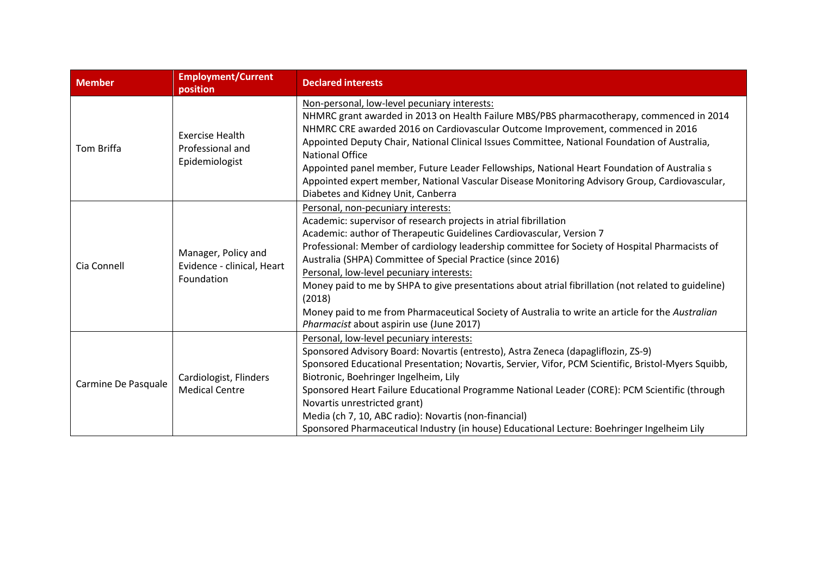| <b>Member</b>       | <b>Employment/Current</b><br>position                           | <b>Declared interests</b>                                                                                                                                                                                                                                                                                                                                                                                                                                                                                                                                                                                                                                    |
|---------------------|-----------------------------------------------------------------|--------------------------------------------------------------------------------------------------------------------------------------------------------------------------------------------------------------------------------------------------------------------------------------------------------------------------------------------------------------------------------------------------------------------------------------------------------------------------------------------------------------------------------------------------------------------------------------------------------------------------------------------------------------|
| Tom Briffa          | <b>Exercise Health</b><br>Professional and<br>Epidemiologist    | Non-personal, low-level pecuniary interests:<br>NHMRC grant awarded in 2013 on Health Failure MBS/PBS pharmacotherapy, commenced in 2014<br>NHMRC CRE awarded 2016 on Cardiovascular Outcome Improvement, commenced in 2016<br>Appointed Deputy Chair, National Clinical Issues Committee, National Foundation of Australia,<br><b>National Office</b><br>Appointed panel member, Future Leader Fellowships, National Heart Foundation of Australia s<br>Appointed expert member, National Vascular Disease Monitoring Advisory Group, Cardiovascular,<br>Diabetes and Kidney Unit, Canberra                                                                 |
| Cia Connell         | Manager, Policy and<br>Evidence - clinical, Heart<br>Foundation | Personal, non-pecuniary interests:<br>Academic: supervisor of research projects in atrial fibrillation<br>Academic: author of Therapeutic Guidelines Cardiovascular, Version 7<br>Professional: Member of cardiology leadership committee for Society of Hospital Pharmacists of<br>Australia (SHPA) Committee of Special Practice (since 2016)<br>Personal, low-level pecuniary interests:<br>Money paid to me by SHPA to give presentations about atrial fibrillation (not related to guideline)<br>(2018)<br>Money paid to me from Pharmaceutical Society of Australia to write an article for the Australian<br>Pharmacist about aspirin use (June 2017) |
| Carmine De Pasquale | Cardiologist, Flinders<br><b>Medical Centre</b>                 | Personal, low-level pecuniary interests:<br>Sponsored Advisory Board: Novartis (entresto), Astra Zeneca (dapagliflozin, ZS-9)<br>Sponsored Educational Presentation; Novartis, Servier, Vifor, PCM Scientific, Bristol-Myers Squibb,<br>Biotronic, Boehringer Ingelheim, Lily<br>Sponsored Heart Failure Educational Programme National Leader (CORE): PCM Scientific (through<br>Novartis unrestricted grant)<br>Media (ch 7, 10, ABC radio): Novartis (non-financial)<br>Sponsored Pharmaceutical Industry (in house) Educational Lecture: Boehringer Ingelheim Lily                                                                                       |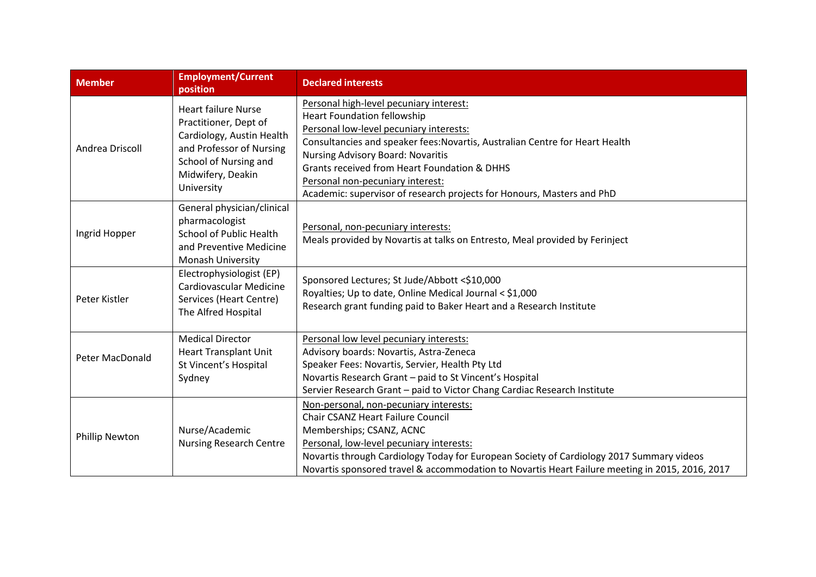| <b>Member</b>   | <b>Employment/Current</b><br>position                                                                                                                                    | <b>Declared interests</b>                                                                                                                                                                                                                                                                                                                                                                                          |
|-----------------|--------------------------------------------------------------------------------------------------------------------------------------------------------------------------|--------------------------------------------------------------------------------------------------------------------------------------------------------------------------------------------------------------------------------------------------------------------------------------------------------------------------------------------------------------------------------------------------------------------|
| Andrea Driscoll | <b>Heart failure Nurse</b><br>Practitioner, Dept of<br>Cardiology, Austin Health<br>and Professor of Nursing<br>School of Nursing and<br>Midwifery, Deakin<br>University | Personal high-level pecuniary interest:<br><b>Heart Foundation fellowship</b><br>Personal low-level pecuniary interests:<br>Consultancies and speaker fees: Novartis, Australian Centre for Heart Health<br><b>Nursing Advisory Board: Novaritis</b><br>Grants received from Heart Foundation & DHHS<br>Personal non-pecuniary interest:<br>Academic: supervisor of research projects for Honours, Masters and PhD |
| Ingrid Hopper   | General physician/clinical<br>pharmacologist<br>School of Public Health<br>and Preventive Medicine<br>Monash University                                                  | Personal, non-pecuniary interests:<br>Meals provided by Novartis at talks on Entresto, Meal provided by Ferinject                                                                                                                                                                                                                                                                                                  |
| Peter Kistler   | Electrophysiologist (EP)<br>Cardiovascular Medicine<br>Services (Heart Centre)<br>The Alfred Hospital                                                                    | Sponsored Lectures; St Jude/Abbott <\$10,000<br>Royalties; Up to date, Online Medical Journal < \$1,000<br>Research grant funding paid to Baker Heart and a Research Institute                                                                                                                                                                                                                                     |
| Peter MacDonald | <b>Medical Director</b><br><b>Heart Transplant Unit</b><br>St Vincent's Hospital<br>Sydney                                                                               | Personal low level pecuniary interests:<br>Advisory boards: Novartis, Astra-Zeneca<br>Speaker Fees: Novartis, Servier, Health Pty Ltd<br>Novartis Research Grant - paid to St Vincent's Hospital<br>Servier Research Grant - paid to Victor Chang Cardiac Research Institute                                                                                                                                       |
| Phillip Newton  | Nurse/Academic<br><b>Nursing Research Centre</b>                                                                                                                         | Non-personal, non-pecuniary interests:<br><b>Chair CSANZ Heart Failure Council</b><br>Memberships; CSANZ, ACNC<br>Personal, low-level pecuniary interests:<br>Novartis through Cardiology Today for European Society of Cardiology 2017 Summary videos<br>Novartis sponsored travel & accommodation to Novartis Heart Failure meeting in 2015, 2016, 2017                                                          |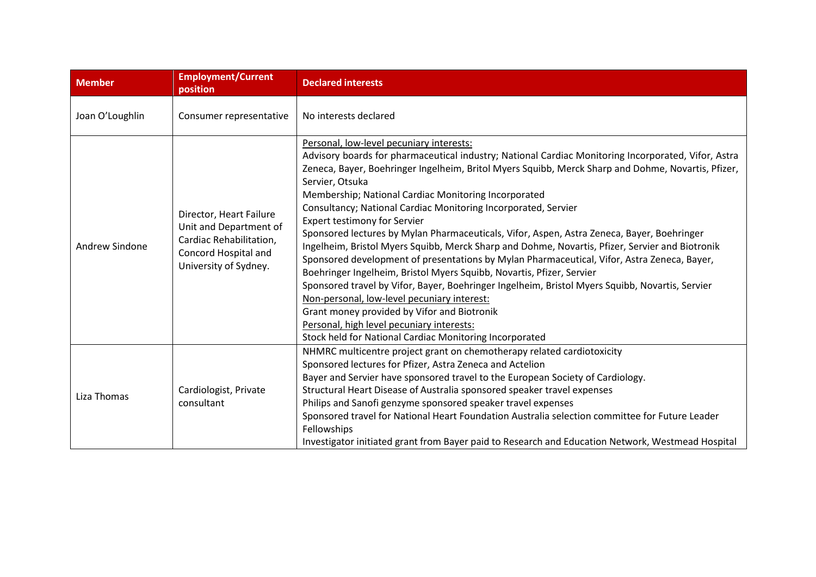| <b>Member</b>   | <b>Employment/Current</b><br>position                                                                                         | <b>Declared interests</b>                                                                                                                                                                                                                                                                                                                                                                                                                                                                                                                                                                                                                                                                                                                                                                                                                                                                                                                                                                                                                                                                                                   |
|-----------------|-------------------------------------------------------------------------------------------------------------------------------|-----------------------------------------------------------------------------------------------------------------------------------------------------------------------------------------------------------------------------------------------------------------------------------------------------------------------------------------------------------------------------------------------------------------------------------------------------------------------------------------------------------------------------------------------------------------------------------------------------------------------------------------------------------------------------------------------------------------------------------------------------------------------------------------------------------------------------------------------------------------------------------------------------------------------------------------------------------------------------------------------------------------------------------------------------------------------------------------------------------------------------|
| Joan O'Loughlin | Consumer representative                                                                                                       | No interests declared                                                                                                                                                                                                                                                                                                                                                                                                                                                                                                                                                                                                                                                                                                                                                                                                                                                                                                                                                                                                                                                                                                       |
| Andrew Sindone  | Director, Heart Failure<br>Unit and Department of<br>Cardiac Rehabilitation,<br>Concord Hospital and<br>University of Sydney. | Personal, low-level pecuniary interests:<br>Advisory boards for pharmaceutical industry; National Cardiac Monitoring Incorporated, Vifor, Astra<br>Zeneca, Bayer, Boehringer Ingelheim, Britol Myers Squibb, Merck Sharp and Dohme, Novartis, Pfizer,<br>Servier, Otsuka<br>Membership; National Cardiac Monitoring Incorporated<br>Consultancy; National Cardiac Monitoring Incorporated, Servier<br><b>Expert testimony for Servier</b><br>Sponsored lectures by Mylan Pharmaceuticals, Vifor, Aspen, Astra Zeneca, Bayer, Boehringer<br>Ingelheim, Bristol Myers Squibb, Merck Sharp and Dohme, Novartis, Pfizer, Servier and Biotronik<br>Sponsored development of presentations by Mylan Pharmaceutical, Vifor, Astra Zeneca, Bayer,<br>Boehringer Ingelheim, Bristol Myers Squibb, Novartis, Pfizer, Servier<br>Sponsored travel by Vifor, Bayer, Boehringer Ingelheim, Bristol Myers Squibb, Novartis, Servier<br>Non-personal, low-level pecuniary interest:<br>Grant money provided by Vifor and Biotronik<br>Personal, high level pecuniary interests:<br>Stock held for National Cardiac Monitoring Incorporated |
| Liza Thomas     | Cardiologist, Private<br>consultant                                                                                           | NHMRC multicentre project grant on chemotherapy related cardiotoxicity<br>Sponsored lectures for Pfizer, Astra Zeneca and Actelion<br>Bayer and Servier have sponsored travel to the European Society of Cardiology.<br>Structural Heart Disease of Australia sponsored speaker travel expenses<br>Philips and Sanofi genzyme sponsored speaker travel expenses<br>Sponsored travel for National Heart Foundation Australia selection committee for Future Leader<br>Fellowships<br>Investigator initiated grant from Bayer paid to Research and Education Network, Westmead Hospital                                                                                                                                                                                                                                                                                                                                                                                                                                                                                                                                       |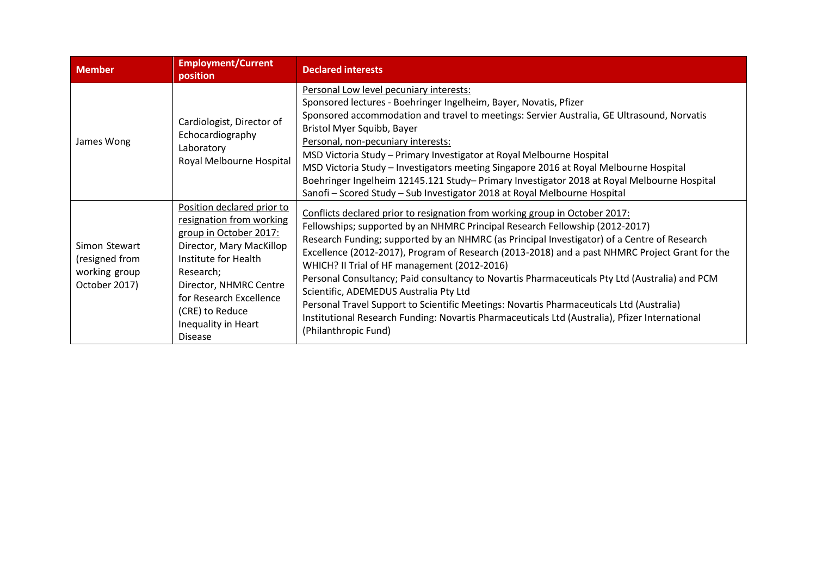| <b>Member</b>                                                     | <b>Employment/Current</b><br>position                                                                                                                                                                                                                              | <b>Declared interests</b>                                                                                                                                                                                                                                                                                                                                                                                                                                                                                                                                                                                                                                                                                                                                                      |
|-------------------------------------------------------------------|--------------------------------------------------------------------------------------------------------------------------------------------------------------------------------------------------------------------------------------------------------------------|--------------------------------------------------------------------------------------------------------------------------------------------------------------------------------------------------------------------------------------------------------------------------------------------------------------------------------------------------------------------------------------------------------------------------------------------------------------------------------------------------------------------------------------------------------------------------------------------------------------------------------------------------------------------------------------------------------------------------------------------------------------------------------|
| James Wong                                                        | Cardiologist, Director of<br>Echocardiography<br>Laboratory<br>Royal Melbourne Hospital                                                                                                                                                                            | Personal Low level pecuniary interests:<br>Sponsored lectures - Boehringer Ingelheim, Bayer, Novatis, Pfizer<br>Sponsored accommodation and travel to meetings: Servier Australia, GE Ultrasound, Norvatis<br>Bristol Myer Squibb, Bayer<br>Personal, non-pecuniary interests:<br>MSD Victoria Study - Primary Investigator at Royal Melbourne Hospital<br>MSD Victoria Study - Investigators meeting Singapore 2016 at Royal Melbourne Hospital<br>Boehringer Ingelheim 12145.121 Study- Primary Investigator 2018 at Royal Melbourne Hospital<br>Sanofi - Scored Study - Sub Investigator 2018 at Royal Melbourne Hospital                                                                                                                                                   |
| Simon Stewart<br>(resigned from<br>working group<br>October 2017) | Position declared prior to<br>resignation from working<br>group in October 2017:<br>Director, Mary MacKillop<br>Institute for Health<br>Research;<br>Director, NHMRC Centre<br>for Research Excellence<br>(CRE) to Reduce<br>Inequality in Heart<br><b>Disease</b> | Conflicts declared prior to resignation from working group in October 2017:<br>Fellowships; supported by an NHMRC Principal Research Fellowship (2012-2017)<br>Research Funding; supported by an NHMRC (as Principal Investigator) of a Centre of Research<br>Excellence (2012-2017), Program of Research (2013-2018) and a past NHMRC Project Grant for the<br>WHICH? II Trial of HF management (2012-2016)<br>Personal Consultancy; Paid consultancy to Novartis Pharmaceuticals Pty Ltd (Australia) and PCM<br>Scientific, ADEMEDUS Australia Pty Ltd<br>Personal Travel Support to Scientific Meetings: Novartis Pharmaceuticals Ltd (Australia)<br>Institutional Research Funding: Novartis Pharmaceuticals Ltd (Australia), Pfizer International<br>(Philanthropic Fund) |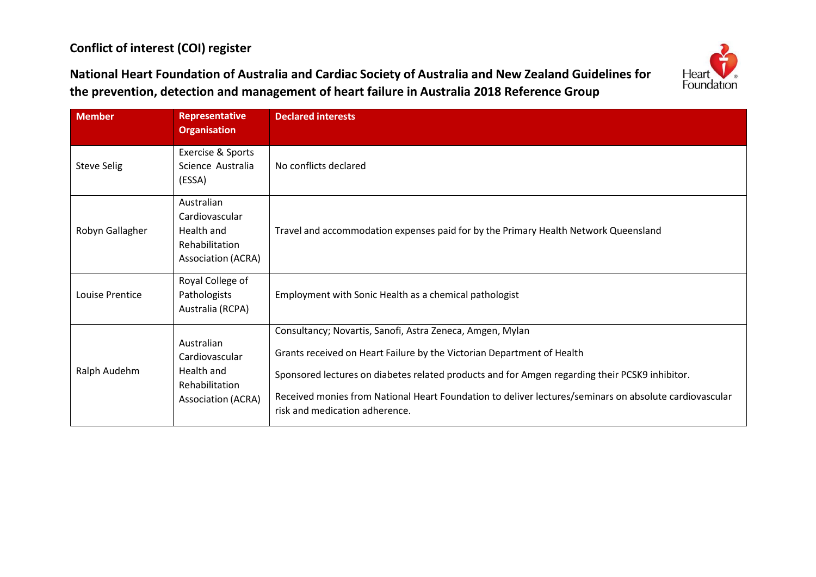## **Conflict of interest (COI) register**



**National Heart Foundation of Australia and Cardiac Society of Australia and New Zealand Guidelines for the prevention, detection and management of heart failure in Australia 2018 Reference Group**

| <b>Member</b>      | <b>Representative</b><br><b>Organisation</b>                                              | <b>Declared interests</b>                                                                                                                                                                                                                                                                                                                                                         |
|--------------------|-------------------------------------------------------------------------------------------|-----------------------------------------------------------------------------------------------------------------------------------------------------------------------------------------------------------------------------------------------------------------------------------------------------------------------------------------------------------------------------------|
| <b>Steve Selig</b> | Exercise & Sports<br>Science Australia<br>(ESSA)                                          | No conflicts declared                                                                                                                                                                                                                                                                                                                                                             |
| Robyn Gallagher    | Australian<br>Cardiovascular<br>Health and<br>Rehabilitation<br><b>Association (ACRA)</b> | Travel and accommodation expenses paid for by the Primary Health Network Queensland                                                                                                                                                                                                                                                                                               |
| Louise Prentice    | Royal College of<br>Pathologists<br>Australia (RCPA)                                      | Employment with Sonic Health as a chemical pathologist                                                                                                                                                                                                                                                                                                                            |
| Ralph Audehm       | Australian<br>Cardiovascular<br>Health and<br>Rehabilitation<br><b>Association (ACRA)</b> | Consultancy; Novartis, Sanofi, Astra Zeneca, Amgen, Mylan<br>Grants received on Heart Failure by the Victorian Department of Health<br>Sponsored lectures on diabetes related products and for Amgen regarding their PCSK9 inhibitor.<br>Received monies from National Heart Foundation to deliver lectures/seminars on absolute cardiovascular<br>risk and medication adherence. |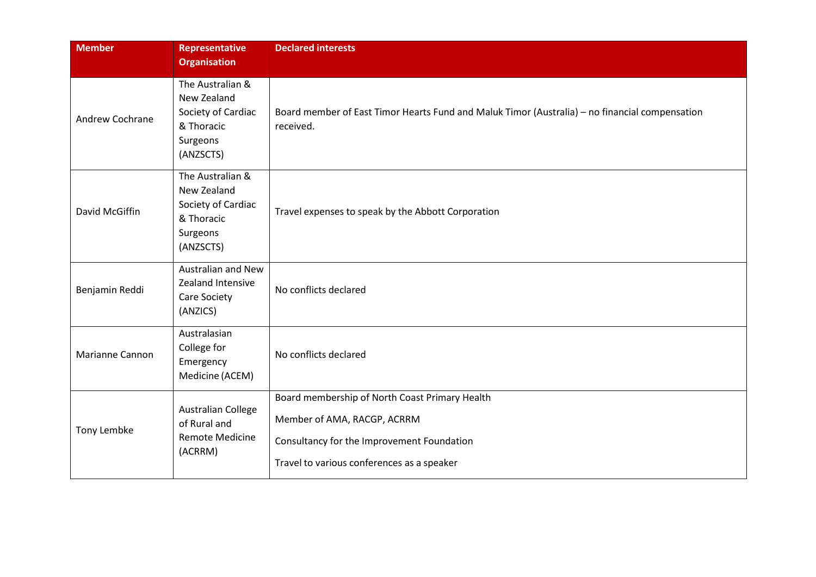| <b>Member</b>   | <b>Representative</b><br><b>Organisation</b>                                                 | <b>Declared interests</b>                                                                                                                                                 |
|-----------------|----------------------------------------------------------------------------------------------|---------------------------------------------------------------------------------------------------------------------------------------------------------------------------|
| Andrew Cochrane | The Australian &<br>New Zealand<br>Society of Cardiac<br>& Thoracic<br>Surgeons<br>(ANZSCTS) | Board member of East Timor Hearts Fund and Maluk Timor (Australia) - no financial compensation<br>received.                                                               |
| David McGiffin  | The Australian &<br>New Zealand<br>Society of Cardiac<br>& Thoracic<br>Surgeons<br>(ANZSCTS) | Travel expenses to speak by the Abbott Corporation                                                                                                                        |
| Benjamin Reddi  | <b>Australian and New</b><br><b>Zealand Intensive</b><br>Care Society<br>(ANZICS)            | No conflicts declared                                                                                                                                                     |
| Marianne Cannon | Australasian<br>College for<br>Emergency<br>Medicine (ACEM)                                  | No conflicts declared                                                                                                                                                     |
| Tony Lembke     | <b>Australian College</b><br>of Rural and<br><b>Remote Medicine</b><br>(ACRRM)               | Board membership of North Coast Primary Health<br>Member of AMA, RACGP, ACRRM<br>Consultancy for the Improvement Foundation<br>Travel to various conferences as a speaker |